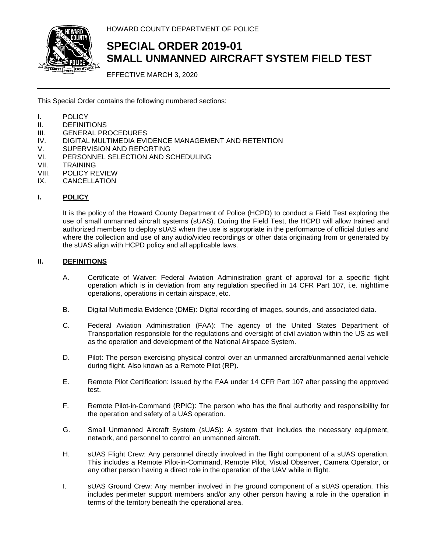

HOWARD COUNTY DEPARTMENT OF POLICE

# **SPECIAL ORDER 2019-01 SMALL UNMANNED AIRCRAFT SYSTEM FIELD TEST**

EFFECTIVE MARCH 3, 2020

This Special Order contains the following numbered sections:

- I. POLICY
- II. DEFINITIONS
- III. GENERAL PROCEDURES
- IV. DIGITAL MULTIMEDIA EVIDENCE MANAGEMENT AND RETENTION
- V. SUPERVISION AND REPORTING
- VI. PERSONNEL SELECTION AND SCHEDULING
- VII. TRAINING
- VIII. POLICY REVIEW
- IX. CANCELLATION

# **I. POLICY**

It is the policy of the Howard County Department of Police (HCPD) to conduct a Field Test exploring the use of small unmanned aircraft systems (sUAS). During the Field Test, the HCPD will allow trained and authorized members to deploy sUAS when the use is appropriate in the performance of official duties and where the collection and use of any audio/video recordings or other data originating from or generated by the sUAS align with HCPD policy and all applicable laws.

# **II. DEFINITIONS**

- A. Certificate of Waiver: Federal Aviation Administration grant of approval for a specific flight operation which is in deviation from any regulation specified in 14 CFR Part 107, i.e. nighttime operations, operations in certain airspace, etc.
- B. Digital Multimedia Evidence (DME): Digital recording of images, sounds, and associated data.
- C. Federal Aviation Administration (FAA): The agency of the United States Department of Transportation responsible for the regulations and oversight of civil aviation within the US as well as the operation and development of the National Airspace System.
- D. Pilot: The person exercising physical control over an unmanned aircraft/unmanned aerial vehicle during flight. Also known as a Remote Pilot (RP).
- E. Remote Pilot Certification: Issued by the FAA under 14 CFR Part 107 after passing the approved test.
- F. Remote Pilot-in-Command (RPIC): The person who has the final authority and responsibility for the operation and safety of a UAS operation.
- G. Small Unmanned Aircraft System (sUAS): A system that includes the necessary equipment, network, and personnel to control an unmanned aircraft.
- H. sUAS Flight Crew: Any personnel directly involved in the flight component of a sUAS operation. This includes a Remote Pilot-in-Command, Remote Pilot, Visual Observer, Camera Operator, or any other person having a direct role in the operation of the UAV while in flight.
- I. sUAS Ground Crew: Any member involved in the ground component of a sUAS operation. This includes perimeter support members and/or any other person having a role in the operation in terms of the territory beneath the operational area.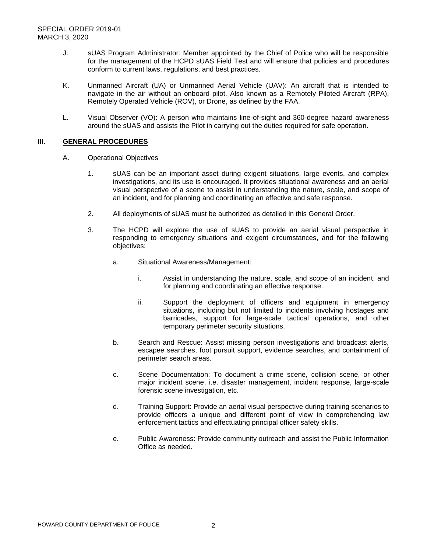- J. sUAS Program Administrator: Member appointed by the Chief of Police who will be responsible for the management of the HCPD sUAS Field Test and will ensure that policies and procedures conform to current laws, regulations, and best practices.
- K. Unmanned Aircraft (UA) or Unmanned Aerial Vehicle (UAV): An aircraft that is intended to navigate in the air without an onboard pilot. Also known as a Remotely Piloted Aircraft (RPA), Remotely Operated Vehicle (ROV), or Drone, as defined by the FAA.
- L. Visual Observer (VO): A person who maintains line-of-sight and 360-degree hazard awareness around the sUAS and assists the Pilot in carrying out the duties required for safe operation.

#### **III. GENERAL PROCEDURES**

- A. Operational Objectives
	- 1. sUAS can be an important asset during exigent situations, large events, and complex investigations, and its use is encouraged. It provides situational awareness and an aerial visual perspective of a scene to assist in understanding the nature, scale, and scope of an incident, and for planning and coordinating an effective and safe response.
	- 2. All deployments of sUAS must be authorized as detailed in this General Order.
	- 3. The HCPD will explore the use of sUAS to provide an aerial visual perspective in responding to emergency situations and exigent circumstances, and for the following objectives:
		- a. Situational Awareness/Management:
			- i. Assist in understanding the nature, scale, and scope of an incident, and for planning and coordinating an effective response.
			- ii. Support the deployment of officers and equipment in emergency situations, including but not limited to incidents involving hostages and barricades, support for large-scale tactical operations, and other temporary perimeter security situations.
		- b. Search and Rescue: Assist missing person investigations and broadcast alerts, escapee searches, foot pursuit support, evidence searches, and containment of perimeter search areas.
		- c. Scene Documentation: To document a crime scene, collision scene, or other major incident scene, i.e. disaster management, incident response, large-scale forensic scene investigation, etc.
		- d. Training Support: Provide an aerial visual perspective during training scenarios to provide officers a unique and different point of view in comprehending law enforcement tactics and effectuating principal officer safety skills.
		- e. Public Awareness: Provide community outreach and assist the Public Information Office as needed.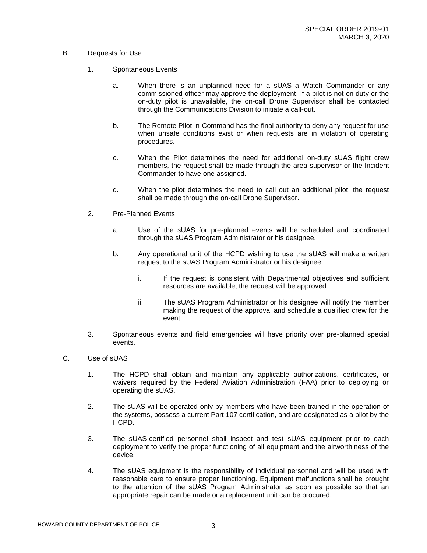# B. Requests for Use

- 1. Spontaneous Events
	- a. When there is an unplanned need for a sUAS a Watch Commander or any commissioned officer may approve the deployment. If a pilot is not on duty or the on-duty pilot is unavailable, the on-call Drone Supervisor shall be contacted through the Communications Division to initiate a call-out.
	- b. The Remote Pilot-in-Command has the final authority to deny any request for use when unsafe conditions exist or when requests are in violation of operating procedures.
	- c. When the Pilot determines the need for additional on-duty sUAS flight crew members, the request shall be made through the area supervisor or the Incident Commander to have one assigned.
	- d. When the pilot determines the need to call out an additional pilot, the request shall be made through the on-call Drone Supervisor.
- 2. Pre-Planned Events
	- a. Use of the sUAS for pre-planned events will be scheduled and coordinated through the sUAS Program Administrator or his designee.
	- b. Any operational unit of the HCPD wishing to use the sUAS will make a written request to the sUAS Program Administrator or his designee.
		- i. If the request is consistent with Departmental objectives and sufficient resources are available, the request will be approved.
		- ii. The sUAS Program Administrator or his designee will notify the member making the request of the approval and schedule a qualified crew for the event.
- 3. Spontaneous events and field emergencies will have priority over pre-planned special events.

# C. Use of sUAS

- 1. The HCPD shall obtain and maintain any applicable authorizations, certificates, or waivers required by the Federal Aviation Administration (FAA) prior to deploying or operating the sUAS.
- 2. The sUAS will be operated only by members who have been trained in the operation of the systems, possess a current Part 107 certification, and are designated as a pilot by the HCPD.
- 3. The sUAS-certified personnel shall inspect and test sUAS equipment prior to each deployment to verify the proper functioning of all equipment and the airworthiness of the device.
- 4. The sUAS equipment is the responsibility of individual personnel and will be used with reasonable care to ensure proper functioning. Equipment malfunctions shall be brought to the attention of the sUAS Program Administrator as soon as possible so that an appropriate repair can be made or a replacement unit can be procured.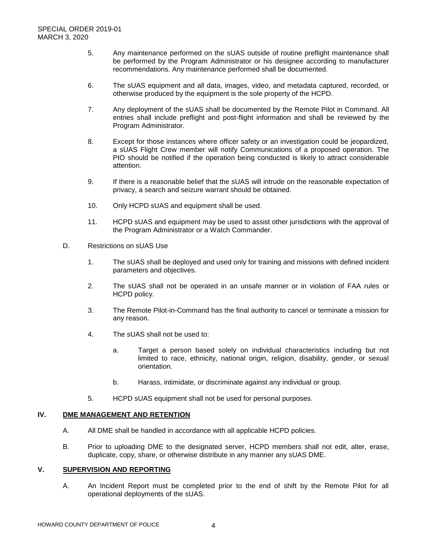- 5. Any maintenance performed on the sUAS outside of routine preflight maintenance shall be performed by the Program Administrator or his designee according to manufacturer recommendations. Any maintenance performed shall be documented.
- 6. The sUAS equipment and all data, images, video, and metadata captured, recorded, or otherwise produced by the equipment is the sole property of the HCPD.
- 7. Any deployment of the sUAS shall be documented by the Remote Pilot in Command. All entries shall include preflight and post-flight information and shall be reviewed by the Program Administrator.
- 8. Except for those instances where officer safety or an investigation could be jeopardized, a sUAS Flight Crew member will notify Communications of a proposed operation. The PIO should be notified if the operation being conducted is likely to attract considerable attention.
- 9. If there is a reasonable belief that the sUAS will intrude on the reasonable expectation of privacy, a search and seizure warrant should be obtained.
- 10. Only HCPD sUAS and equipment shall be used.
- 11. HCPD sUAS and equipment may be used to assist other jurisdictions with the approval of the Program Administrator or a Watch Commander.
- D. Restrictions on sUAS Use
	- 1. The sUAS shall be deployed and used only for training and missions with defined incident parameters and objectives.
	- 2. The sUAS shall not be operated in an unsafe manner or in violation of FAA rules or HCPD policy.
	- 3. The Remote Pilot-in-Command has the final authority to cancel or terminate a mission for any reason.
	- 4. The sUAS shall not be used to:
		- a. Target a person based solely on individual characteristics including but not limited to race, ethnicity, national origin, religion, disability, gender, or sexual orientation.
		- b. Harass, intimidate, or discriminate against any individual or group.
	- 5. HCPD sUAS equipment shall not be used for personal purposes.

# **IV. DME MANAGEMENT AND RETENTION**

- A. All DME shall be handled in accordance with all applicable HCPD policies.
- B. Prior to uploading DME to the designated server, HCPD members shall not edit, alter, erase, duplicate, copy, share, or otherwise distribute in any manner any sUAS DME.

#### **V. SUPERVISION AND REPORTING**

A. An Incident Report must be completed prior to the end of shift by the Remote Pilot for all operational deployments of the sUAS.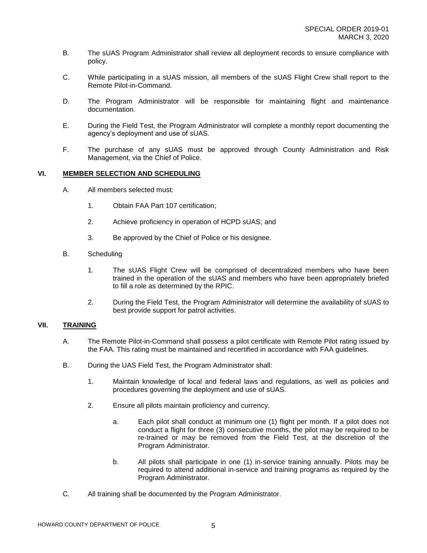- B. The sUAS Program Administrator shall review all deployment records to ensure compliance with policy.
- C. While participating in a sUAS mission, all members of the sUAS Flight Crew shall report to the Remote Pilot-in-Command.
- D. The Program Administrator will be responsible for maintaining flight and maintenance documentation.
- E. During the Field Test, the Program Administrator will complete a monthly report documenting the agency's deployment and use of sUAS.
- F. The purchase of any sUAS must be approved through County Administration and Risk Management, via the Chief of Police.

#### **VI. MEMBER SELECTION AND SCHEDULING**

- A. All members selected must:
	- 1. Obtain FAA Part 107 certification;
	- 2. Achieve proficiency in operation of HCPD sUAS; and
	- 3. Be approved by the Chief of Police or his designee.
- B. Scheduling
	- 1. The sUAS Flight Crew will be comprised of decentralized members who have been trained in the operation of the sUAS and members who have been appropriately briefed to fill a role as determined by the RPIC.
	- 2. During the Field Test, the Program Administrator will determine the availability of sUAS to best provide support for patrol activities.

# **VII. TRAINING**

- A. The Remote Pilot-in-Command shall possess a pilot certificate with Remote Pilot rating issued by the FAA. This rating must be maintained and recertified in accordance with FAA guidelines.
- B. During the UAS Field Test, the Program Administrator shall:
	- 1. Maintain knowledge of local and federal laws and regulations, as well as policies and procedures governing the deployment and use of sUAS.
	- 2. Ensure all pilots maintain proficiency and currency.
		- a. Each pilot shall conduct at minimum one (1) flight per month. If a pilot does not conduct a flight for three (3) consecutive months, the pilot may be required to be re-trained or may be removed from the Field Test, at the discretion of the Program Administrator.
		- b. All pilots shall participate in one (1) in-service training annually. Pilots may be required to attend additional in-service and training programs as required by the Program Administrator.
- C. All training shall be documented by the Program Administrator.